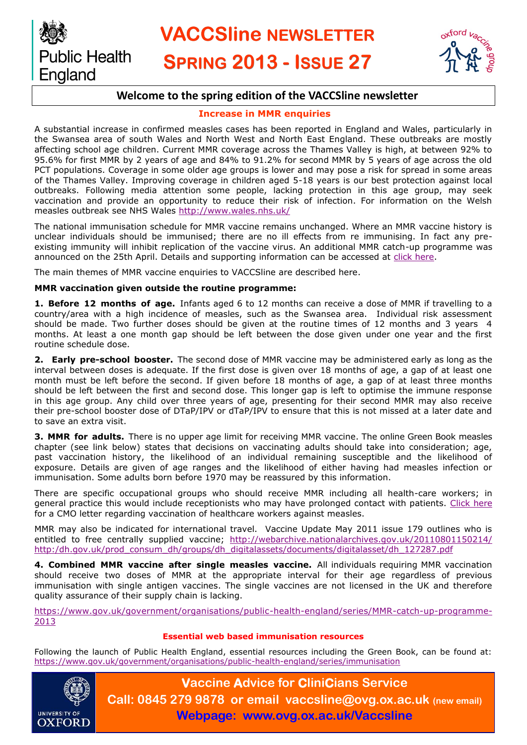



## **Welcome to the spring edition of the VACCSline newsletter**

## **Increase in MMR enquiries**

A substantial increase in confirmed measles cases has been reported in England and Wales, particularly in the Swansea area of south Wales and North West and North East England. These outbreaks are mostly affecting school age children. Current MMR coverage across the Thames Valley is high, at between 92% to 95.6% for first MMR by 2 years of age and 84% to 91.2% for second MMR by 5 years of age across the old PCT populations. Coverage in some older age groups is lower and may pose a risk for spread in some areas of the Thames Valley. Improving coverage in children aged 5-18 years is our best protection against local outbreaks. Following media attention some people, lacking protection in this age group, may seek vaccination and provide an opportunity to reduce their risk of infection. For information on the Welsh measles outbreak see NHS Wales<http://www.wales.nhs.uk/>

The national immunisation schedule for MMR vaccine remains unchanged. Where an MMR vaccine history is unclear individuals should be immunised; there are no ill effects from re immunising. In fact any preexisting immunity will inhibit replication of the vaccine virus. An additional MMR catch-up programme was announced on the 25th April. Details and supporting information can be accessed at [click here.](https://www.gov.uk/government/organisations/public-health-england/series/MMR-catch-up-programme-2013) 

The main themes of MMR vaccine enquiries to VACCSline are described here.

## **MMR vaccination given outside the routine programme:**

**1. Before 12 months of age.** Infants aged 6 to 12 months can receive a dose of MMR if travelling to a country/area with a high incidence of measles, such as the Swansea area. Individual risk assessment should be made. Two further doses should be given at the routine times of 12 months and 3 years 4 months. At least a one month gap should be left between the dose given under one year and the first routine schedule dose.

**2. Early pre-school booster.** The second dose of MMR vaccine may be administered early as long as the interval between doses is adequate. If the first dose is given over 18 months of age, a gap of at least one month must be left before the second. If given before 18 months of age, a gap of at least three months should be left between the first and second dose. This longer gap is left to optimise the immune response in this age group. Any child over three years of age, presenting for their second MMR may also receive their pre-school booster dose of DTaP/IPV or dTaP/IPV to ensure that this is not missed at a later date and to save an extra visit.

**3. MMR for adults.** There is no upper age limit for receiving MMR vaccine. The online Green Book measles chapter (see link below) states that decisions on vaccinating adults should take into consideration; age, past vaccination history, the likelihood of an individual remaining susceptible and the likelihood of exposure. Details are given of age ranges and the likelihood of either having had measles infection or immunisation. Some adults born before 1970 may be reassured by this information.

There are specific occupational groups who should receive MMR including all health-care workers; in general practice this would include receptionists who may have prolonged contact with patients. [Click here](https://www.gov.uk/government/organisations/public-health-england/series/MMR-catch-up-programme-2013) for a CMO letter regarding vaccination of healthcare workers against measles.

MMR may also be indicated for international travel. Vaccine Update May 2011 issue 179 outlines who is entitled to free centrally supplied vaccine; [http://webarchive.nationalarchives.gov.uk/20110801150214/](http://webarchive.nationalarchives.gov.uk/20110801150214/http:/dh.gov.uk/prod_consum_dh/groups/dh_digitalassets/documents/digitalasset/dh_127287.pdf) [http:/dh.gov.uk/prod\\_consum\\_dh/groups/dh\\_digitalassets/documents/digitalasset/dh\\_127287.pdf](http://webarchive.nationalarchives.gov.uk/20110801150214/http:/dh.gov.uk/prod_consum_dh/groups/dh_digitalassets/documents/digitalasset/dh_127287.pdf)

**4. Combined MMR vaccine after single measles vaccine.** All individuals requiring MMR vaccination should receive two doses of MMR at the appropriate interval for their age regardless of previous immunisation with single antigen vaccines. The single vaccines are not licensed in the UK and therefore quality assurance of their supply chain is lacking.

[https://www.gov.uk/government/organisations/public-health-england/series/MMR-catch-up-programme-](https://www.gov.uk/government/organisations/public-health-england/series/MMR-catch-up-programme-2013)[2013](https://www.gov.uk/government/organisations/public-health-england/series/MMR-catch-up-programme-2013)

## **Essential web based immunisation resources**

Following the launch of Public Health England, essential resources including the Green Book, can be found at: <https://www.gov.uk/government/organisations/public-health-england/series/immunisation>



**Vaccine Advice for CliniCians Service Call: 0845 279 9878 or email vaccsline@ovg.ox.ac.uk (new email) Webpage: www.ovg.ox.ac.uk/Vaccsline**